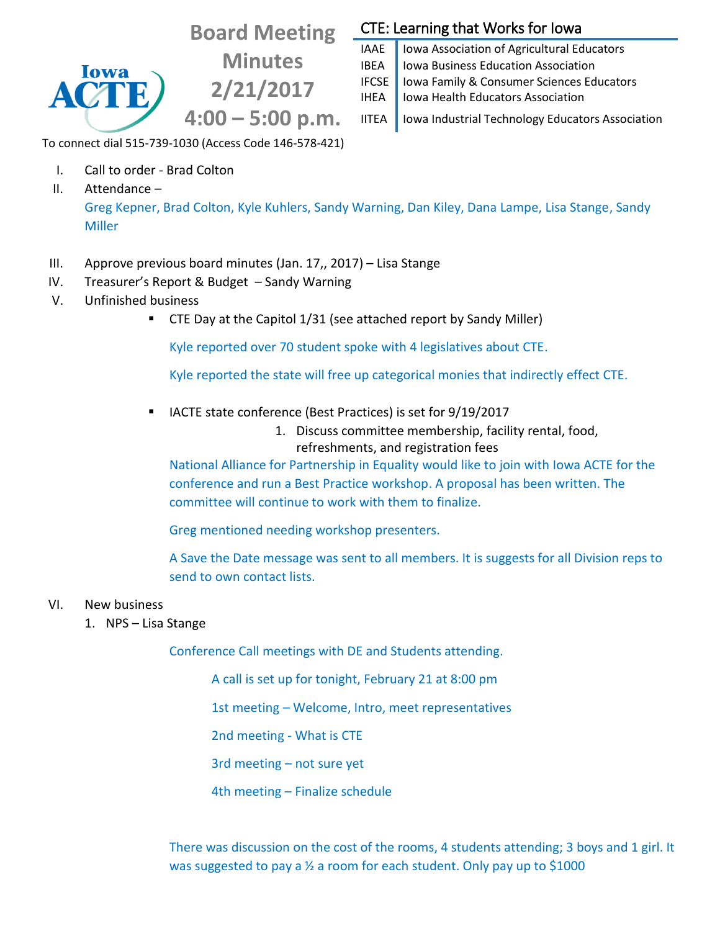# **Board Meeting**

**Minutes 2/21/2017 4:00 – 5:00 p.m.**

## CTE: Learning that Works for Iowa

IAAE | Iowa Association of Agricultural Educators IBEA | Iowa Business Education Association IFCSE Iowa Family & Consumer Sciences Educators IHEA | Iowa Health Educators Association

IITEA | Iowa Industrial Technology Educators Association

To connect dial 515-739-1030 (Access Code 146-578-421)

- I. Call to order Brad Colton
- II. Attendance –

lowa

Greg Kepner, Brad Colton, Kyle Kuhlers, Sandy Warning, Dan Kiley, Dana Lampe, Lisa Stange, Sandy Miller

- III. Approve previous board minutes (Jan. 17,, 2017) Lisa Stange
- IV. Treasurer's Report & Budget Sandy Warning
- V. Unfinished business
	- CTE Day at the Capitol 1/31 (see attached report by Sandy Miller)

Kyle reported over 70 student spoke with 4 legislatives about CTE.

Kyle reported the state will free up categorical monies that indirectly effect CTE.

- IACTE state conference (Best Practices) is set for 9/19/2017
	- 1. Discuss committee membership, facility rental, food, refreshments, and registration fees

National Alliance for Partnership in Equality would like to join with Iowa ACTE for the conference and run a Best Practice workshop. A proposal has been written. The committee will continue to work with them to finalize.

Greg mentioned needing workshop presenters.

A Save the Date message was sent to all members. It is suggests for all Division reps to send to own contact lists.

#### VI. New business

1. NPS – Lisa Stange

Conference Call meetings with DE and Students attending.

A call is set up for tonight, February 21 at 8:00 pm

1st meeting – Welcome, Intro, meet representatives

2nd meeting - What is CTE

3rd meeting – not sure yet

4th meeting – Finalize schedule

There was discussion on the cost of the rooms, 4 students attending; 3 boys and 1 girl. It was suggested to pay a ½ a room for each student. Only pay up to \$1000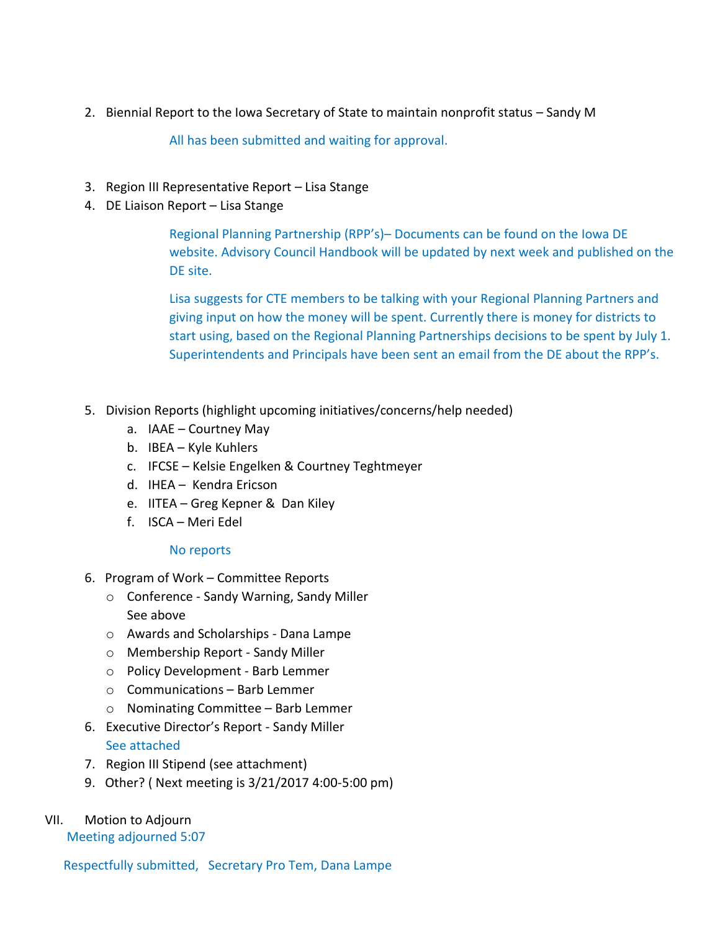2. Biennial Report to the Iowa Secretary of State to maintain nonprofit status – Sandy M

All has been submitted and waiting for approval.

- 3. Region III Representative Report Lisa Stange
- 4. DE Liaison Report Lisa Stange

Regional Planning Partnership (RPP's)– Documents can be found on the Iowa DE website. Advisory Council Handbook will be updated by next week and published on the DE site.

Lisa suggests for CTE members to be talking with your Regional Planning Partners and giving input on how the money will be spent. Currently there is money for districts to start using, based on the Regional Planning Partnerships decisions to be spent by July 1. Superintendents and Principals have been sent an email from the DE about the RPP's.

- 5. Division Reports (highlight upcoming initiatives/concerns/help needed)
	- a. IAAE Courtney May
	- b. IBEA Kyle Kuhlers
	- c. IFCSE Kelsie Engelken & Courtney Teghtmeyer
	- d. IHEA Kendra Ericson
	- e. IITEA Greg Kepner & Dan Kiley
	- f. ISCA Meri Edel

#### No reports

- 6. Program of Work Committee Reports
	- o Conference Sandy Warning, Sandy Miller See above
	- o Awards and Scholarships Dana Lampe
	- o Membership Report Sandy Miller
	- o Policy Development Barb Lemmer
	- o Communications Barb Lemmer
	- o Nominating Committee Barb Lemmer
- 6. Executive Director's Report Sandy Miller See attached
- 7. Region III Stipend (see attachment)
- 9. Other? ( Next meeting is 3/21/2017 4:00-5:00 pm)

### VII. Motion to Adjourn

Meeting adjourned 5:07

Respectfully submitted, Secretary Pro Tem, Dana Lampe